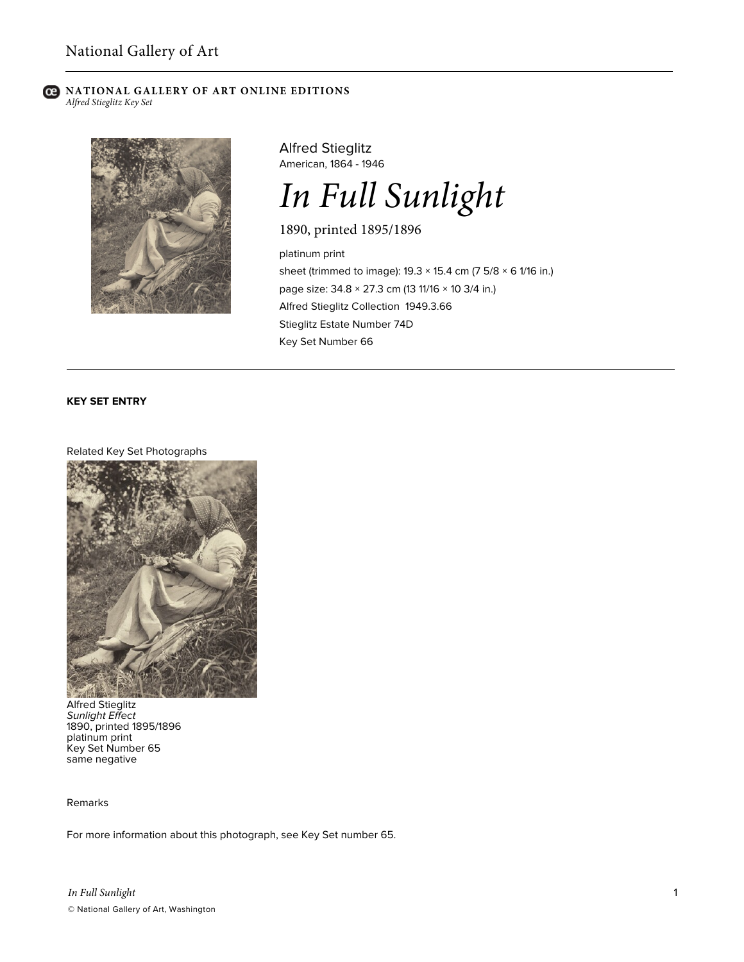#### **NATIONAL GALLERY OF ART ONLINE EDITIONS** *Alfred Stieglitz Key Set*



Alfred Stieglitz American, 1864 - 1946



1890, printed 1895/1896

platinum print sheet (trimmed to image): 19.3 × 15.4 cm (7 5/8 × 6 1/16 in.) page size: 34.8 × 27.3 cm (13 11/16 × 10 3/4 in.) Alfred Stieglitz Collection 1949.3.66 Stieglitz Estate Number 74D Key Set Number 66

# **KEY SET ENTRY**

## Related Key Set Photographs



Alfred Stieglitz *Sunlight Effect* 1890, printed 1895/1896 platinum print Key Set Number 65 same negative

Remarks

For more information about this photograph, see Key Set number 65.